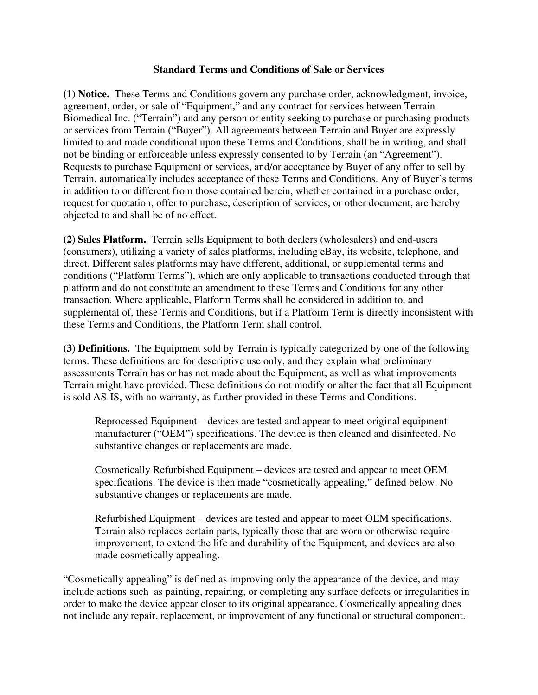## **Standard Terms and Conditions of Sale or Services**

**(1) Notice.** These Terms and Conditions govern any purchase order, acknowledgment, invoice, agreement, order, or sale of "Equipment," and any contract for services between Terrain Biomedical Inc. ("Terrain") and any person or entity seeking to purchase or purchasing products or services from Terrain ("Buyer"). All agreements between Terrain and Buyer are expressly limited to and made conditional upon these Terms and Conditions, shall be in writing, and shall not be binding or enforceable unless expressly consented to by Terrain (an "Agreement"). Requests to purchase Equipment or services, and/or acceptance by Buyer of any offer to sell by Terrain, automatically includes acceptance of these Terms and Conditions. Any of Buyer's terms in addition to or different from those contained herein, whether contained in a purchase order, request for quotation, offer to purchase, description of services, or other document, are hereby objected to and shall be of no effect.

**(2) Sales Platform.** Terrain sells Equipment to both dealers (wholesalers) and end-users (consumers), utilizing a variety of sales platforms, including eBay, its website, telephone, and direct. Different sales platforms may have different, additional, or supplemental terms and conditions ("Platform Terms"), which are only applicable to transactions conducted through that platform and do not constitute an amendment to these Terms and Conditions for any other transaction. Where applicable, Platform Terms shall be considered in addition to, and supplemental of, these Terms and Conditions, but if a Platform Term is directly inconsistent with these Terms and Conditions, the Platform Term shall control.

**(3) Definitions.** The Equipment sold by Terrain is typically categorized by one of the following terms. These definitions are for descriptive use only, and they explain what preliminary assessments Terrain has or has not made about the Equipment, as well as what improvements Terrain might have provided. These definitions do not modify or alter the fact that all Equipment is sold AS-IS, with no warranty, as further provided in these Terms and Conditions.

Reprocessed Equipment – devices are tested and appear to meet original equipment manufacturer ("OEM") specifications. The device is then cleaned and disinfected. No substantive changes or replacements are made.

Cosmetically Refurbished Equipment – devices are tested and appear to meet OEM specifications. The device is then made "cosmetically appealing," defined below. No substantive changes or replacements are made.

Refurbished Equipment – devices are tested and appear to meet OEM specifications. Terrain also replaces certain parts, typically those that are worn or otherwise require improvement, to extend the life and durability of the Equipment, and devices are also made cosmetically appealing.

"Cosmetically appealing" is defined as improving only the appearance of the device, and may include actions such as painting, repairing, or completing any surface defects or irregularities in order to make the device appear closer to its original appearance. Cosmetically appealing does not include any repair, replacement, or improvement of any functional or structural component.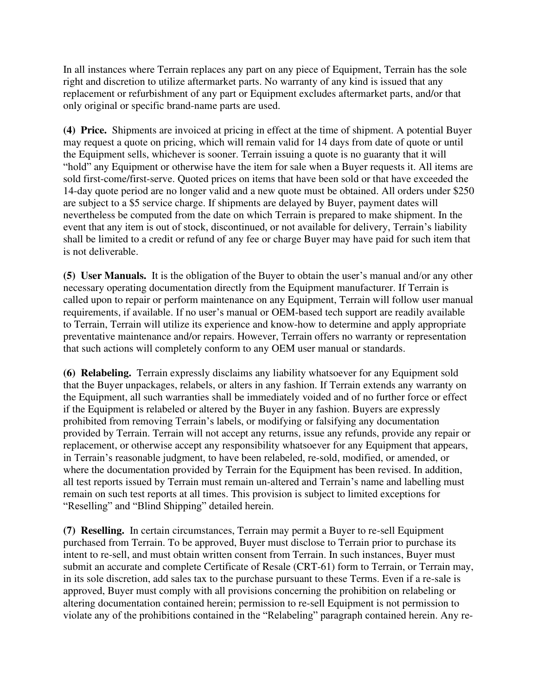In all instances where Terrain replaces any part on any piece of Equipment, Terrain has the sole right and discretion to utilize aftermarket parts. No warranty of any kind is issued that any replacement or refurbishment of any part or Equipment excludes aftermarket parts, and/or that only original or specific brand-name parts are used.

**(4) Price.** Shipments are invoiced at pricing in effect at the time of shipment. A potential Buyer may request a quote on pricing, which will remain valid for 14 days from date of quote or until the Equipment sells, whichever is sooner. Terrain issuing a quote is no guaranty that it will "hold" any Equipment or otherwise have the item for sale when a Buyer requests it. All items are sold first-come/first-serve. Quoted prices on items that have been sold or that have exceeded the 14-day quote period are no longer valid and a new quote must be obtained. All orders under \$250 are subject to a \$5 service charge. If shipments are delayed by Buyer, payment dates will nevertheless be computed from the date on which Terrain is prepared to make shipment. In the event that any item is out of stock, discontinued, or not available for delivery, Terrain's liability shall be limited to a credit or refund of any fee or charge Buyer may have paid for such item that is not deliverable.

**(5) User Manuals.** It is the obligation of the Buyer to obtain the user's manual and/or any other necessary operating documentation directly from the Equipment manufacturer. If Terrain is called upon to repair or perform maintenance on any Equipment, Terrain will follow user manual requirements, if available. If no user's manual or OEM-based tech support are readily available to Terrain, Terrain will utilize its experience and know-how to determine and apply appropriate preventative maintenance and/or repairs. However, Terrain offers no warranty or representation that such actions will completely conform to any OEM user manual or standards.

**(6) Relabeling.** Terrain expressly disclaims any liability whatsoever for any Equipment sold that the Buyer unpackages, relabels, or alters in any fashion. If Terrain extends any warranty on the Equipment, all such warranties shall be immediately voided and of no further force or effect if the Equipment is relabeled or altered by the Buyer in any fashion. Buyers are expressly prohibited from removing Terrain's labels, or modifying or falsifying any documentation provided by Terrain. Terrain will not accept any returns, issue any refunds, provide any repair or replacement, or otherwise accept any responsibility whatsoever for any Equipment that appears, in Terrain's reasonable judgment, to have been relabeled, re-sold, modified, or amended, or where the documentation provided by Terrain for the Equipment has been revised. In addition, all test reports issued by Terrain must remain un-altered and Terrain's name and labelling must remain on such test reports at all times. This provision is subject to limited exceptions for "Reselling" and "Blind Shipping" detailed herein.

**(7) Reselling.** In certain circumstances, Terrain may permit a Buyer to re-sell Equipment purchased from Terrain. To be approved, Buyer must disclose to Terrain prior to purchase its intent to re-sell, and must obtain written consent from Terrain. In such instances, Buyer must submit an accurate and complete Certificate of Resale (CRT-61) form to Terrain, or Terrain may, in its sole discretion, add sales tax to the purchase pursuant to these Terms. Even if a re-sale is approved, Buyer must comply with all provisions concerning the prohibition on relabeling or altering documentation contained herein; permission to re-sell Equipment is not permission to violate any of the prohibitions contained in the "Relabeling" paragraph contained herein. Any re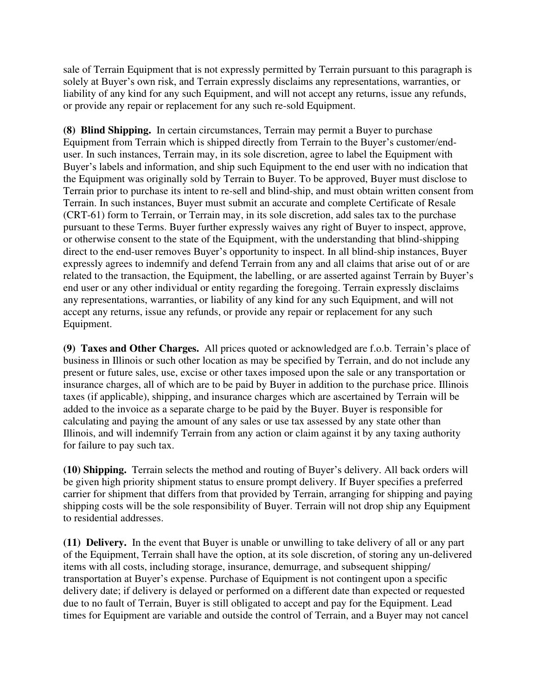sale of Terrain Equipment that is not expressly permitted by Terrain pursuant to this paragraph is solely at Buyer's own risk, and Terrain expressly disclaims any representations, warranties, or liability of any kind for any such Equipment, and will not accept any returns, issue any refunds, or provide any repair or replacement for any such re-sold Equipment.

**(8) Blind Shipping.** In certain circumstances, Terrain may permit a Buyer to purchase Equipment from Terrain which is shipped directly from Terrain to the Buyer's customer/enduser. In such instances, Terrain may, in its sole discretion, agree to label the Equipment with Buyer's labels and information, and ship such Equipment to the end user with no indication that the Equipment was originally sold by Terrain to Buyer. To be approved, Buyer must disclose to Terrain prior to purchase its intent to re-sell and blind-ship, and must obtain written consent from Terrain. In such instances, Buyer must submit an accurate and complete Certificate of Resale (CRT-61) form to Terrain, or Terrain may, in its sole discretion, add sales tax to the purchase pursuant to these Terms. Buyer further expressly waives any right of Buyer to inspect, approve, or otherwise consent to the state of the Equipment, with the understanding that blind-shipping direct to the end-user removes Buyer's opportunity to inspect. In all blind-ship instances, Buyer expressly agrees to indemnify and defend Terrain from any and all claims that arise out of or are related to the transaction, the Equipment, the labelling, or are asserted against Terrain by Buyer's end user or any other individual or entity regarding the foregoing. Terrain expressly disclaims any representations, warranties, or liability of any kind for any such Equipment, and will not accept any returns, issue any refunds, or provide any repair or replacement for any such Equipment.

**(9) Taxes and Other Charges.** All prices quoted or acknowledged are f.o.b. Terrain's place of business in Illinois or such other location as may be specified by Terrain, and do not include any present or future sales, use, excise or other taxes imposed upon the sale or any transportation or insurance charges, all of which are to be paid by Buyer in addition to the purchase price. Illinois taxes (if applicable), shipping, and insurance charges which are ascertained by Terrain will be added to the invoice as a separate charge to be paid by the Buyer. Buyer is responsible for calculating and paying the amount of any sales or use tax assessed by any state other than Illinois, and will indemnify Terrain from any action or claim against it by any taxing authority for failure to pay such tax.

**(10) Shipping.** Terrain selects the method and routing of Buyer's delivery. All back orders will be given high priority shipment status to ensure prompt delivery. If Buyer specifies a preferred carrier for shipment that differs from that provided by Terrain, arranging for shipping and paying shipping costs will be the sole responsibility of Buyer. Terrain will not drop ship any Equipment to residential addresses.

**(11) Delivery.** In the event that Buyer is unable or unwilling to take delivery of all or any part of the Equipment, Terrain shall have the option, at its sole discretion, of storing any un-delivered items with all costs, including storage, insurance, demurrage, and subsequent shipping/ transportation at Buyer's expense. Purchase of Equipment is not contingent upon a specific delivery date; if delivery is delayed or performed on a different date than expected or requested due to no fault of Terrain, Buyer is still obligated to accept and pay for the Equipment. Lead times for Equipment are variable and outside the control of Terrain, and a Buyer may not cancel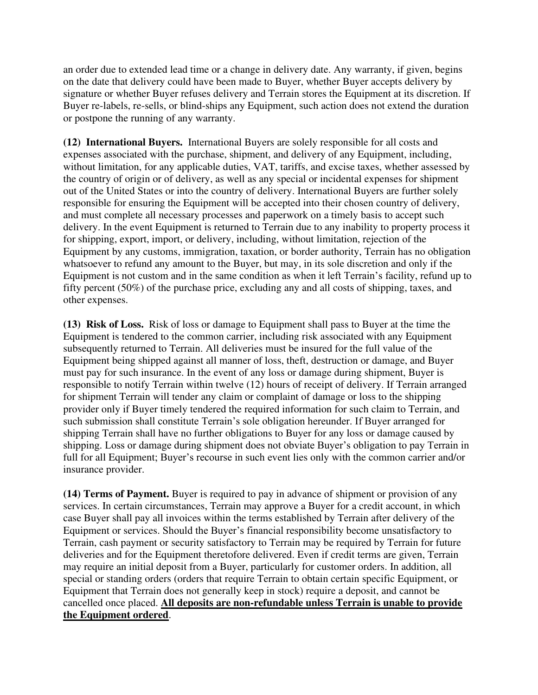an order due to extended lead time or a change in delivery date. Any warranty, if given, begins on the date that delivery could have been made to Buyer, whether Buyer accepts delivery by signature or whether Buyer refuses delivery and Terrain stores the Equipment at its discretion. If Buyer re-labels, re-sells, or blind-ships any Equipment, such action does not extend the duration or postpone the running of any warranty.

**(12) International Buyers.** International Buyers are solely responsible for all costs and expenses associated with the purchase, shipment, and delivery of any Equipment, including, without limitation, for any applicable duties, VAT, tariffs, and excise taxes, whether assessed by the country of origin or of delivery, as well as any special or incidental expenses for shipment out of the United States or into the country of delivery. International Buyers are further solely responsible for ensuring the Equipment will be accepted into their chosen country of delivery, and must complete all necessary processes and paperwork on a timely basis to accept such delivery. In the event Equipment is returned to Terrain due to any inability to property process it for shipping, export, import, or delivery, including, without limitation, rejection of the Equipment by any customs, immigration, taxation, or border authority, Terrain has no obligation whatsoever to refund any amount to the Buyer, but may, in its sole discretion and only if the Equipment is not custom and in the same condition as when it left Terrain's facility, refund up to fifty percent (50%) of the purchase price, excluding any and all costs of shipping, taxes, and other expenses.

**(13) Risk of Loss.** Risk of loss or damage to Equipment shall pass to Buyer at the time the Equipment is tendered to the common carrier, including risk associated with any Equipment subsequently returned to Terrain. All deliveries must be insured for the full value of the Equipment being shipped against all manner of loss, theft, destruction or damage, and Buyer must pay for such insurance. In the event of any loss or damage during shipment, Buyer is responsible to notify Terrain within twelve (12) hours of receipt of delivery. If Terrain arranged for shipment Terrain will tender any claim or complaint of damage or loss to the shipping provider only if Buyer timely tendered the required information for such claim to Terrain, and such submission shall constitute Terrain's sole obligation hereunder. If Buyer arranged for shipping Terrain shall have no further obligations to Buyer for any loss or damage caused by shipping. Loss or damage during shipment does not obviate Buyer's obligation to pay Terrain in full for all Equipment; Buyer's recourse in such event lies only with the common carrier and/or insurance provider.

**(14) Terms of Payment.** Buyer is required to pay in advance of shipment or provision of any services. In certain circumstances, Terrain may approve a Buyer for a credit account, in which case Buyer shall pay all invoices within the terms established by Terrain after delivery of the Equipment or services. Should the Buyer's financial responsibility become unsatisfactory to Terrain, cash payment or security satisfactory to Terrain may be required by Terrain for future deliveries and for the Equipment theretofore delivered. Even if credit terms are given, Terrain may require an initial deposit from a Buyer, particularly for customer orders. In addition, all special or standing orders (orders that require Terrain to obtain certain specific Equipment, or Equipment that Terrain does not generally keep in stock) require a deposit, and cannot be cancelled once placed. **All deposits are non-refundable unless Terrain is unable to provide the Equipment ordered**.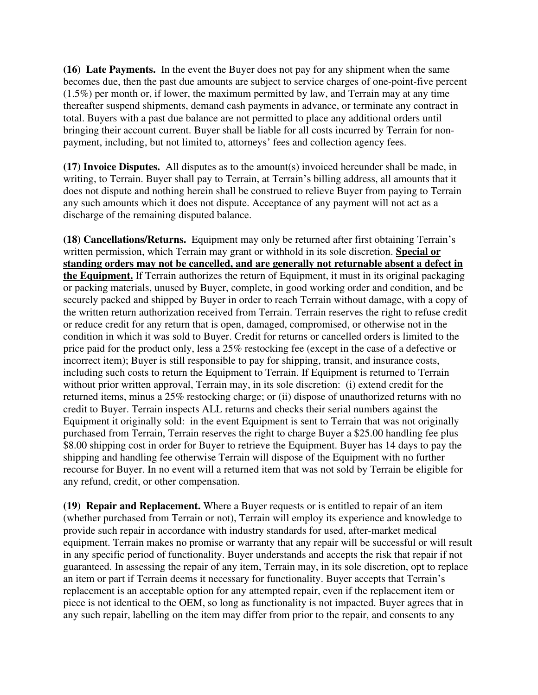**(16) Late Payments.** In the event the Buyer does not pay for any shipment when the same becomes due, then the past due amounts are subject to service charges of one-point-five percent (1.5%) per month or, if lower, the maximum permitted by law, and Terrain may at any time thereafter suspend shipments, demand cash payments in advance, or terminate any contract in total. Buyers with a past due balance are not permitted to place any additional orders until bringing their account current. Buyer shall be liable for all costs incurred by Terrain for nonpayment, including, but not limited to, attorneys' fees and collection agency fees.

**(17) Invoice Disputes.** All disputes as to the amount(s) invoiced hereunder shall be made, in writing, to Terrain. Buyer shall pay to Terrain, at Terrain's billing address, all amounts that it does not dispute and nothing herein shall be construed to relieve Buyer from paying to Terrain any such amounts which it does not dispute. Acceptance of any payment will not act as a discharge of the remaining disputed balance.

**(18) Cancellations/Returns.** Equipment may only be returned after first obtaining Terrain's written permission, which Terrain may grant or withhold in its sole discretion. **Special or standing orders may not be cancelled, and are generally not returnable absent a defect in the Equipment.** If Terrain authorizes the return of Equipment, it must in its original packaging or packing materials, unused by Buyer, complete, in good working order and condition, and be securely packed and shipped by Buyer in order to reach Terrain without damage, with a copy of the written return authorization received from Terrain. Terrain reserves the right to refuse credit or reduce credit for any return that is open, damaged, compromised, or otherwise not in the condition in which it was sold to Buyer. Credit for returns or cancelled orders is limited to the price paid for the product only, less a 25% restocking fee (except in the case of a defective or incorrect item); Buyer is still responsible to pay for shipping, transit, and insurance costs, including such costs to return the Equipment to Terrain. If Equipment is returned to Terrain without prior written approval, Terrain may, in its sole discretion: (i) extend credit for the returned items, minus a 25% restocking charge; or (ii) dispose of unauthorized returns with no credit to Buyer. Terrain inspects ALL returns and checks their serial numbers against the Equipment it originally sold: in the event Equipment is sent to Terrain that was not originally purchased from Terrain, Terrain reserves the right to charge Buyer a \$25.00 handling fee plus \$8.00 shipping cost in order for Buyer to retrieve the Equipment. Buyer has 14 days to pay the shipping and handling fee otherwise Terrain will dispose of the Equipment with no further recourse for Buyer. In no event will a returned item that was not sold by Terrain be eligible for any refund, credit, or other compensation.

**(19) Repair and Replacement.** Where a Buyer requests or is entitled to repair of an item (whether purchased from Terrain or not), Terrain will employ its experience and knowledge to provide such repair in accordance with industry standards for used, after-market medical equipment. Terrain makes no promise or warranty that any repair will be successful or will result in any specific period of functionality. Buyer understands and accepts the risk that repair if not guaranteed. In assessing the repair of any item, Terrain may, in its sole discretion, opt to replace an item or part if Terrain deems it necessary for functionality. Buyer accepts that Terrain's replacement is an acceptable option for any attempted repair, even if the replacement item or piece is not identical to the OEM, so long as functionality is not impacted. Buyer agrees that in any such repair, labelling on the item may differ from prior to the repair, and consents to any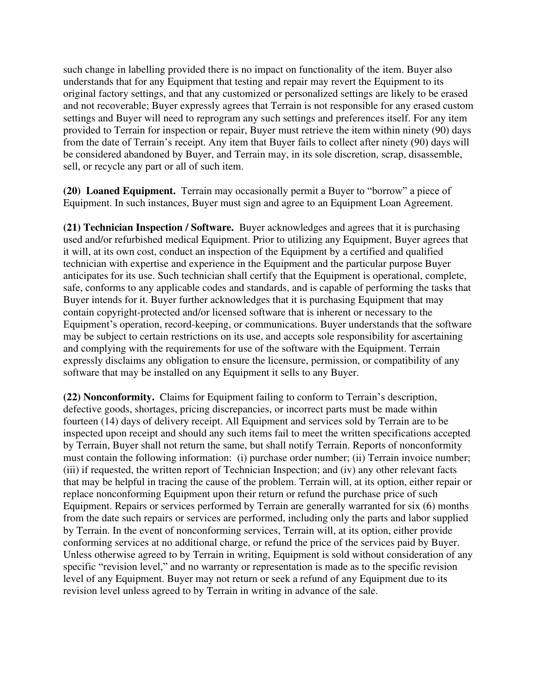such change in labelling provided there is no impact on functionality of the item. Buyer also understands that for any Equipment that testing and repair may revert the Equipment to its original factory settings, and that any customized or personalized settings are likely to be erased and not recoverable; Buyer expressly agrees that Terrain is not responsible for any erased custom settings and Buyer will need to reprogram any such settings and preferences itself. For any item provided to Terrain for inspection or repair, Buyer must retrieve the item within ninety (90) days from the date of Terrain's receipt. Any item that Buyer fails to collect after ninety (90) days will be considered abandoned by Buyer, and Terrain may, in its sole discretion, scrap, disassemble, sell, or recycle any part or all of such item.

**(20) Loaned Equipment.** Terrain may occasionally permit a Buyer to "borrow" a piece of Equipment. In such instances, Buyer must sign and agree to an Equipment Loan Agreement.

**(21) Technician Inspection / Software.** Buyer acknowledges and agrees that it is purchasing used and/or refurbished medical Equipment. Prior to utilizing any Equipment, Buyer agrees that it will, at its own cost, conduct an inspection of the Equipment by a certified and qualified technician with expertise and experience in the Equipment and the particular purpose Buyer anticipates for its use. Such technician shall certify that the Equipment is operational, complete, safe, conforms to any applicable codes and standards, and is capable of performing the tasks that Buyer intends for it. Buyer further acknowledges that it is purchasing Equipment that may contain copyright-protected and/or licensed software that is inherent or necessary to the Equipment's operation, record-keeping, or communications. Buyer understands that the software may be subject to certain restrictions on its use, and accepts sole responsibility for ascertaining and complying with the requirements for use of the software with the Equipment. Terrain expressly disclaims any obligation to ensure the licensure, permission, or compatibility of any software that may be installed on any Equipment it sells to any Buyer.

**(22) Nonconformity.** Claims for Equipment failing to conform to Terrain's description, defective goods, shortages, pricing discrepancies, or incorrect parts must be made within fourteen (14) days of delivery receipt. All Equipment and services sold by Terrain are to be inspected upon receipt and should any such items fail to meet the written specifications accepted by Terrain, Buyer shall not return the same, but shall notify Terrain. Reports of nonconformity must contain the following information: (i) purchase order number; (ii) Terrain invoice number; (iii) if requested, the written report of Technician Inspection; and (iv) any other relevant facts that may be helpful in tracing the cause of the problem. Terrain will, at its option, either repair or replace nonconforming Equipment upon their return or refund the purchase price of such Equipment. Repairs or services performed by Terrain are generally warranted for six (6) months from the date such repairs or services are performed, including only the parts and labor supplied by Terrain. In the event of nonconforming services, Terrain will, at its option, either provide conforming services at no additional charge, or refund the price of the services paid by Buyer. Unless otherwise agreed to by Terrain in writing, Equipment is sold without consideration of any specific "revision level," and no warranty or representation is made as to the specific revision level of any Equipment. Buyer may not return or seek a refund of any Equipment due to its revision level unless agreed to by Terrain in writing in advance of the sale.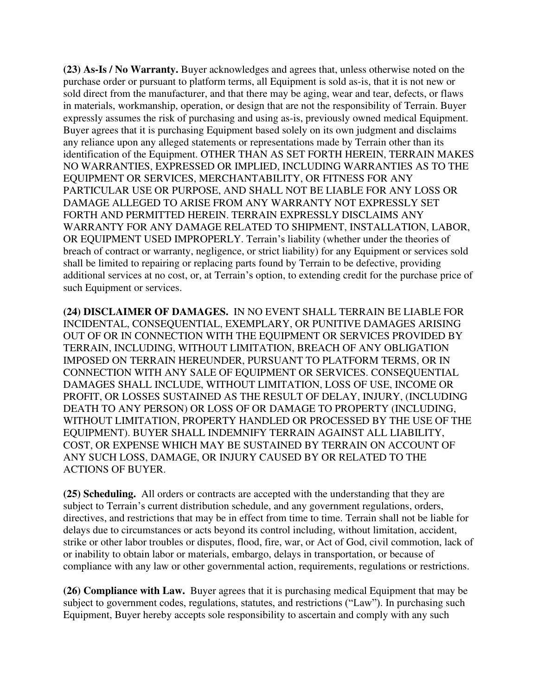**(23) As-Is / No Warranty.** Buyer acknowledges and agrees that, unless otherwise noted on the purchase order or pursuant to platform terms, all Equipment is sold as-is, that it is not new or sold direct from the manufacturer, and that there may be aging, wear and tear, defects, or flaws in materials, workmanship, operation, or design that are not the responsibility of Terrain. Buyer expressly assumes the risk of purchasing and using as-is, previously owned medical Equipment. Buyer agrees that it is purchasing Equipment based solely on its own judgment and disclaims any reliance upon any alleged statements or representations made by Terrain other than its identification of the Equipment. OTHER THAN AS SET FORTH HEREIN, TERRAIN MAKES NO WARRANTIES, EXPRESSED OR IMPLIED, INCLUDING WARRANTIES AS TO THE EQUIPMENT OR SERVICES, MERCHANTABILITY, OR FITNESS FOR ANY PARTICULAR USE OR PURPOSE, AND SHALL NOT BE LIABLE FOR ANY LOSS OR DAMAGE ALLEGED TO ARISE FROM ANY WARRANTY NOT EXPRESSLY SET FORTH AND PERMITTED HEREIN. TERRAIN EXPRESSLY DISCLAIMS ANY WARRANTY FOR ANY DAMAGE RELATED TO SHIPMENT, INSTALLATION, LABOR, OR EQUIPMENT USED IMPROPERLY. Terrain's liability (whether under the theories of breach of contract or warranty, negligence, or strict liability) for any Equipment or services sold shall be limited to repairing or replacing parts found by Terrain to be defective, providing additional services at no cost, or, at Terrain's option, to extending credit for the purchase price of such Equipment or services.

**(24) DISCLAIMER OF DAMAGES.** IN NO EVENT SHALL TERRAIN BE LIABLE FOR INCIDENTAL, CONSEQUENTIAL, EXEMPLARY, OR PUNITIVE DAMAGES ARISING OUT OF OR IN CONNECTION WITH THE EQUIPMENT OR SERVICES PROVIDED BY TERRAIN, INCLUDING, WITHOUT LIMITATION, BREACH OF ANY OBLIGATION IMPOSED ON TERRAIN HEREUNDER, PURSUANT TO PLATFORM TERMS, OR IN CONNECTION WITH ANY SALE OF EQUIPMENT OR SERVICES. CONSEQUENTIAL DAMAGES SHALL INCLUDE, WITHOUT LIMITATION, LOSS OF USE, INCOME OR PROFIT, OR LOSSES SUSTAINED AS THE RESULT OF DELAY, INJURY, (INCLUDING DEATH TO ANY PERSON) OR LOSS OF OR DAMAGE TO PROPERTY (INCLUDING, WITHOUT LIMITATION, PROPERTY HANDLED OR PROCESSED BY THE USE OF THE EQUIPMENT). BUYER SHALL INDEMNIFY TERRAIN AGAINST ALL LIABILITY, COST, OR EXPENSE WHICH MAY BE SUSTAINED BY TERRAIN ON ACCOUNT OF ANY SUCH LOSS, DAMAGE, OR INJURY CAUSED BY OR RELATED TO THE ACTIONS OF BUYER.

**(25) Scheduling.** All orders or contracts are accepted with the understanding that they are subject to Terrain's current distribution schedule, and any government regulations, orders, directives, and restrictions that may be in effect from time to time. Terrain shall not be liable for delays due to circumstances or acts beyond its control including, without limitation, accident, strike or other labor troubles or disputes, flood, fire, war, or Act of God, civil commotion, lack of or inability to obtain labor or materials, embargo, delays in transportation, or because of compliance with any law or other governmental action, requirements, regulations or restrictions.

**(26) Compliance with Law.** Buyer agrees that it is purchasing medical Equipment that may be subject to government codes, regulations, statutes, and restrictions ("Law"). In purchasing such Equipment, Buyer hereby accepts sole responsibility to ascertain and comply with any such